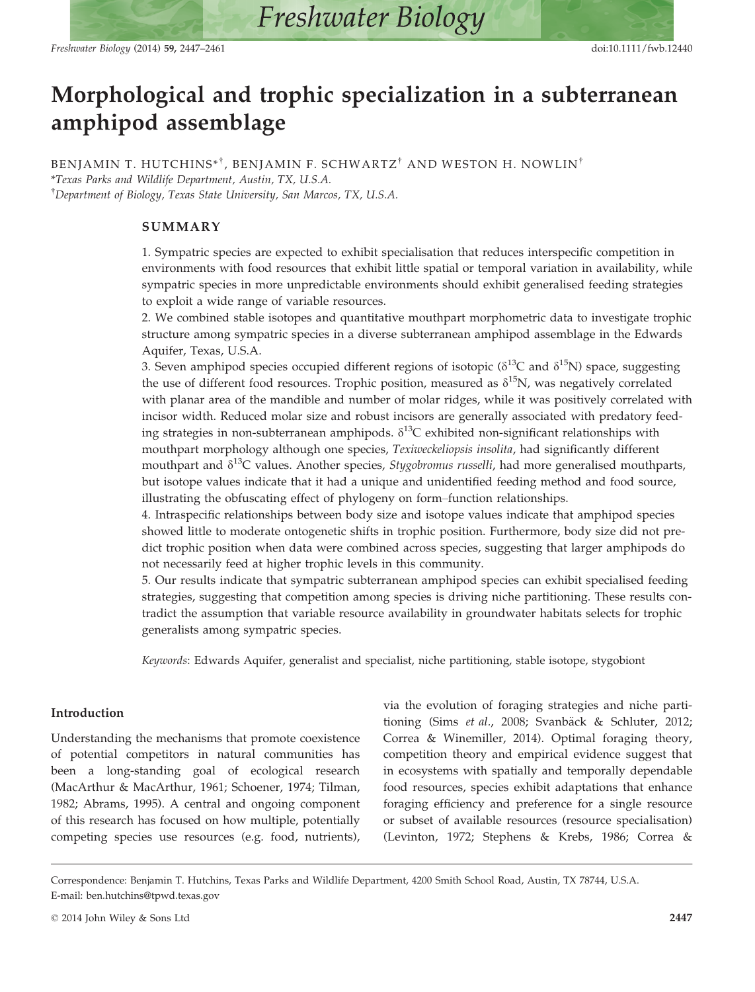# Morphological and trophic specialization in a subterranean amphipod assemblage

BENJAMIN T. HUTCHINS\*†, BENJAMIN F. SCHWARTZ† AND WESTON H. NOWLIN† \*Texas Parks and Wildlife Department, Austin, TX, U.S.A. † Department of Biology, Texas State University, San Marcos, TX, U.S.A.

## SUMMARY

1. Sympatric species are expected to exhibit specialisation that reduces interspecific competition in environments with food resources that exhibit little spatial or temporal variation in availability, while sympatric species in more unpredictable environments should exhibit generalised feeding strategies to exploit a wide range of variable resources.

2. We combined stable isotopes and quantitative mouthpart morphometric data to investigate trophic structure among sympatric species in a diverse subterranean amphipod assemblage in the Edwards Aquifer, Texas, U.S.A.

3. Seven amphipod species occupied different regions of isotopic ( $\delta^{13}C$  and  $\delta^{15}N$ ) space, suggesting the use of different food resources. Trophic position, measured as  $\delta^{15}N$ , was negatively correlated with planar area of the mandible and number of molar ridges, while it was positively correlated with incisor width. Reduced molar size and robust incisors are generally associated with predatory feeding strategies in non-subterranean amphipods.  $\delta^{13}$ C exhibited non-significant relationships with mouthpart morphology although one species, Texiweckeliopsis insolita, had significantly different mouthpart and  $\delta^{13}C$  values. Another species, *Stygobromus russelli*, had more generalised mouthparts, but isotope values indicate that it had a unique and unidentified feeding method and food source, illustrating the obfuscating effect of phylogeny on form–function relationships.

4. Intraspecific relationships between body size and isotope values indicate that amphipod species showed little to moderate ontogenetic shifts in trophic position. Furthermore, body size did not predict trophic position when data were combined across species, suggesting that larger amphipods do not necessarily feed at higher trophic levels in this community.

5. Our results indicate that sympatric subterranean amphipod species can exhibit specialised feeding strategies, suggesting that competition among species is driving niche partitioning. These results contradict the assumption that variable resource availability in groundwater habitats selects for trophic generalists among sympatric species.

Keywords: Edwards Aquifer, generalist and specialist, niche partitioning, stable isotope, stygobiont

## Introduction

Understanding the mechanisms that promote coexistence of potential competitors in natural communities has been a long-standing goal of ecological research (MacArthur & MacArthur, 1961; Schoener, 1974; Tilman, 1982; Abrams, 1995). A central and ongoing component of this research has focused on how multiple, potentially competing species use resources (e.g. food, nutrients),

via the evolution of foraging strategies and niche partitioning (Sims et al., 2008; Svanbäck & Schluter, 2012; Correa & Winemiller, 2014). Optimal foraging theory, competition theory and empirical evidence suggest that in ecosystems with spatially and temporally dependable food resources, species exhibit adaptations that enhance foraging efficiency and preference for a single resource or subset of available resources (resource specialisation) (Levinton, 1972; Stephens & Krebs, 1986; Correa &

Correspondence: Benjamin T. Hutchins, Texas Parks and Wildlife Department, 4200 Smith School Road, Austin, TX 78744, U.S.A. E-mail: ben.hutchins@tpwd.texas.gov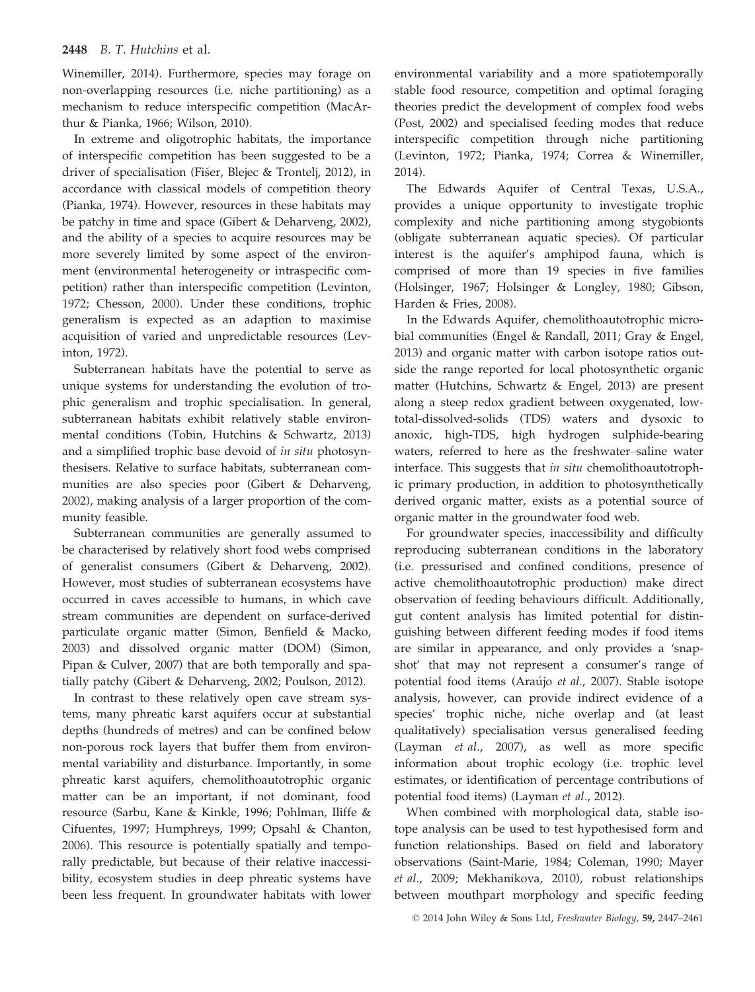Winemiller, 2014). Furthermore, species may forage on non-overlapping resources (i.e. niche partitioning) as a mechanism to reduce interspecific competition (MacArthur & Pianka, 1966; Wilson, 2010).

In extreme and oligotrophic habitats, the importance of interspecific competition has been suggested to be a driver of specialisation (Fišer, Blejec & Trontelj, 2012), in accordance with classical models of competition theory (Pianka, 1974). However, resources in these habitats may be patchy in time and space (Gibert & Deharveng, 2002), and the ability of a species to acquire resources may be more severely limited by some aspect of the environment (environmental heterogeneity or intraspecific competition) rather than interspecific competition (Levinton, 1972; Chesson, 2000). Under these conditions, trophic generalism is expected as an adaption to maximise acquisition of varied and unpredictable resources (Levinton, 1972).

Subterranean habitats have the potential to serve as unique systems for understanding the evolution of trophic generalism and trophic specialisation. In general, subterranean habitats exhibit relatively stable environmental conditions (Tobin, Hutchins & Schwartz, 2013) and a simplified trophic base devoid of in situ photosynthesisers. Relative to surface habitats, subterranean communities are also species poor (Gibert & Deharveng, 2002), making analysis of a larger proportion of the community feasible.

Subterranean communities are generally assumed to be characterised by relatively short food webs comprised of generalist consumers (Gibert & Deharveng, 2002). However, most studies of subterranean ecosystems have occurred in caves accessible to humans, in which cave stream communities are dependent on surface-derived particulate organic matter (Simon, Benfield & Macko, 2003) and dissolved organic matter (DOM) (Simon, Pipan & Culver, 2007) that are both temporally and spatially patchy (Gibert & Deharveng, 2002; Poulson, 2012).

In contrast to these relatively open cave stream systems, many phreatic karst aquifers occur at substantial depths (hundreds of metres) and can be confined below non-porous rock layers that buffer them from environmental variability and disturbance. Importantly, in some phreatic karst aquifers, chemolithoautotrophic organic matter can be an important, if not dominant, food resource (Sarbu, Kane & Kinkle, 1996; Pohlman, Iliffe & Cifuentes, 1997; Humphreys, 1999; Opsahl & Chanton, 2006). This resource is potentially spatially and temporally predictable, but because of their relative inaccessibility, ecosystem studies in deep phreatic systems have been less frequent. In groundwater habitats with lower environmental variability and a more spatiotemporally stable food resource, competition and optimal foraging theories predict the development of complex food webs (Post, 2002) and specialised feeding modes that reduce interspecific competition through niche partitioning (Levinton, 1972; Pianka, 1974; Correa & Winemiller, 2014).

The Edwards Aquifer of Central Texas, U.S.A., provides a unique opportunity to investigate trophic complexity and niche partitioning among stygobionts (obligate subterranean aquatic species). Of particular interest is the aquifer's amphipod fauna, which is comprised of more than 19 species in five families (Holsinger, 1967; Holsinger & Longley, 1980; Gibson, Harden & Fries, 2008).

In the Edwards Aquifer, chemolithoautotrophic microbial communities (Engel & Randall, 2011; Gray & Engel, 2013) and organic matter with carbon isotope ratios outside the range reported for local photosynthetic organic matter (Hutchins, Schwartz & Engel, 2013) are present along a steep redox gradient between oxygenated, lowtotal-dissolved-solids (TDS) waters and dysoxic to anoxic, high-TDS, high hydrogen sulphide-bearing waters, referred to here as the freshwater–saline water interface. This suggests that in situ chemolithoautotrophic primary production, in addition to photosynthetically derived organic matter, exists as a potential source of organic matter in the groundwater food web.

For groundwater species, inaccessibility and difficulty reproducing subterranean conditions in the laboratory (i.e. pressurised and confined conditions, presence of active chemolithoautotrophic production) make direct observation of feeding behaviours difficult. Additionally, gut content analysis has limited potential for distinguishing between different feeding modes if food items are similar in appearance, and only provides a 'snapshot' that may not represent a consumer's range of potential food items (Araújo et al., 2007). Stable isotope analysis, however, can provide indirect evidence of a species' trophic niche, niche overlap and (at least qualitatively) specialisation versus generalised feeding (Layman et al., 2007), as well as more specific information about trophic ecology (i.e. trophic level estimates, or identification of percentage contributions of potential food items) (Layman et al., 2012).

When combined with morphological data, stable isotope analysis can be used to test hypothesised form and function relationships. Based on field and laboratory observations (Saint-Marie, 1984; Coleman, 1990; Mayer et al., 2009; Mekhanikova, 2010), robust relationships between mouthpart morphology and specific feeding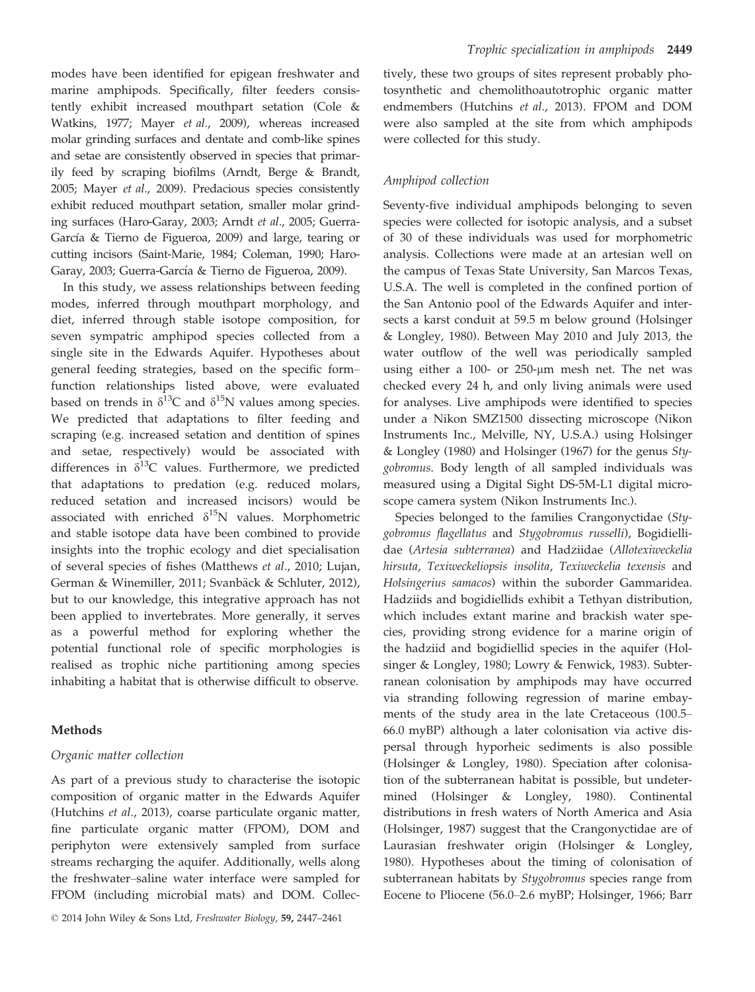modes have been identified for epigean freshwater and marine amphipods. Specifically, filter feeders consistently exhibit increased mouthpart setation (Cole & Watkins, 1977; Mayer et al., 2009), whereas increased molar grinding surfaces and dentate and comb-like spines and setae are consistently observed in species that primarily feed by scraping biofilms (Arndt, Berge & Brandt, 2005; Mayer et al., 2009). Predacious species consistently exhibit reduced mouthpart setation, smaller molar grinding surfaces (Haro-Garay, 2003; Arndt et al., 2005; Guerra-García & Tierno de Figueroa, 2009) and large, tearing or cutting incisors (Saint-Marie, 1984; Coleman, 1990; Haro-Garay, 2003; Guerra-García & Tierno de Figueroa, 2009).

In this study, we assess relationships between feeding modes, inferred through mouthpart morphology, and diet, inferred through stable isotope composition, for seven sympatric amphipod species collected from a single site in the Edwards Aquifer. Hypotheses about general feeding strategies, based on the specific form– function relationships listed above, were evaluated based on trends in  $\delta^{13}C$  and  $\delta^{15}N$  values among species. We predicted that adaptations to filter feeding and scraping (e.g. increased setation and dentition of spines and setae, respectively) would be associated with differences in  $\delta^{13}$ C values. Furthermore, we predicted that adaptations to predation (e.g. reduced molars, reduced setation and increased incisors) would be associated with enriched  $\delta^{15}N$  values. Morphometric and stable isotope data have been combined to provide insights into the trophic ecology and diet specialisation of several species of fishes (Matthews et al., 2010; Lujan, German & Winemiller, 2011; Svanbäck & Schluter, 2012), but to our knowledge, this integrative approach has not been applied to invertebrates. More generally, it serves as a powerful method for exploring whether the potential functional role of specific morphologies is realised as trophic niche partitioning among species inhabiting a habitat that is otherwise difficult to observe.

## Methods

#### Organic matter collection

As part of a previous study to characterise the isotopic composition of organic matter in the Edwards Aquifer (Hutchins et al., 2013), coarse particulate organic matter, fine particulate organic matter (FPOM), DOM and periphyton were extensively sampled from surface streams recharging the aquifer. Additionally, wells along the freshwater–saline water interface were sampled for FPOM (including microbial mats) and DOM. Collectively, these two groups of sites represent probably photosynthetic and chemolithoautotrophic organic matter endmembers (Hutchins et al., 2013). FPOM and DOM were also sampled at the site from which amphipods were collected for this study.

## Amphipod collection

Seventy-five individual amphipods belonging to seven species were collected for isotopic analysis, and a subset of 30 of these individuals was used for morphometric analysis. Collections were made at an artesian well on the campus of Texas State University, San Marcos Texas, U.S.A. The well is completed in the confined portion of the San Antonio pool of the Edwards Aquifer and intersects a karst conduit at 59.5 m below ground (Holsinger & Longley, 1980). Between May 2010 and July 2013, the water outflow of the well was periodically sampled using either a 100- or  $250$ - $\mu$ m mesh net. The net was checked every 24 h, and only living animals were used for analyses. Live amphipods were identified to species under a Nikon SMZ1500 dissecting microscope (Nikon Instruments Inc., Melville, NY, U.S.A.) using Holsinger & Longley (1980) and Holsinger (1967) for the genus Stygobromus. Body length of all sampled individuals was measured using a Digital Sight DS-5M-L1 digital microscope camera system (Nikon Instruments Inc.).

Species belonged to the families Crangonyctidae (Stygobromus flagellatus and Stygobromus russelli), Bogidiellidae (Artesia subterranea) and Hadziidae (Allotexiweckelia hirsuta, Texiweckeliopsis insolita, Texiweckelia texensis and Holsingerius samacos) within the suborder Gammaridea. Hadziids and bogidiellids exhibit a Tethyan distribution, which includes extant marine and brackish water species, providing strong evidence for a marine origin of the hadziid and bogidiellid species in the aquifer (Holsinger & Longley, 1980; Lowry & Fenwick, 1983). Subterranean colonisation by amphipods may have occurred via stranding following regression of marine embayments of the study area in the late Cretaceous (100.5– 66.0 myBP) although a later colonisation via active dispersal through hyporheic sediments is also possible (Holsinger & Longley, 1980). Speciation after colonisation of the subterranean habitat is possible, but undetermined (Holsinger & Longley, 1980). Continental distributions in fresh waters of North America and Asia (Holsinger, 1987) suggest that the Crangonyctidae are of Laurasian freshwater origin (Holsinger & Longley, 1980). Hypotheses about the timing of colonisation of subterranean habitats by Stygobromus species range from Eocene to Pliocene (56.0–2.6 myBP; Holsinger, 1966; Barr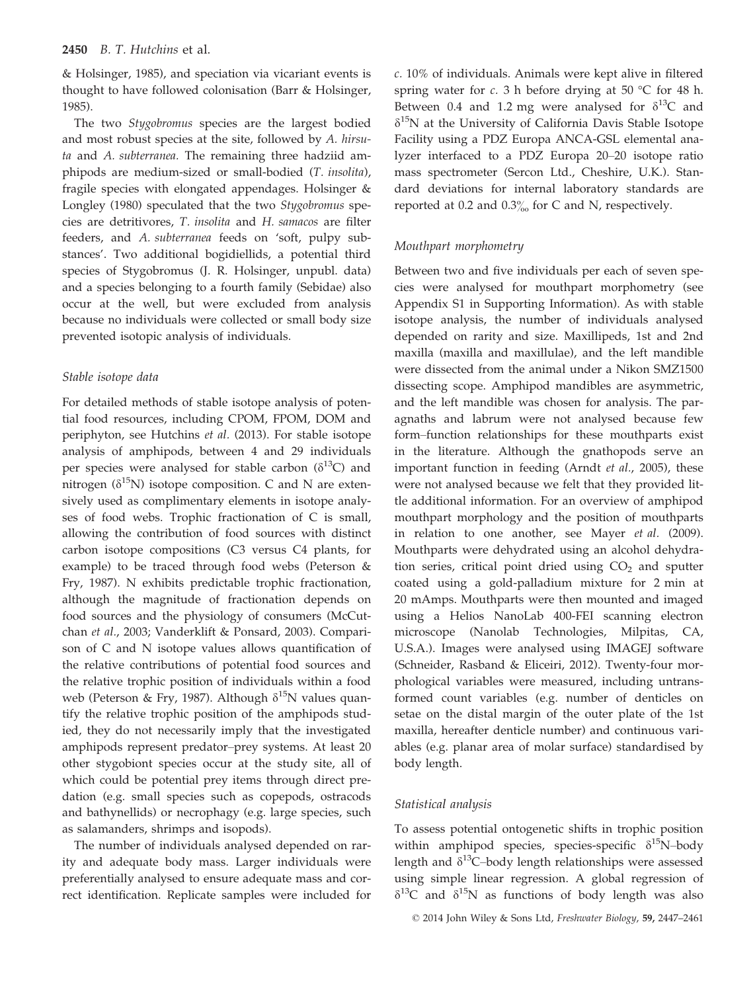& Holsinger, 1985), and speciation via vicariant events is thought to have followed colonisation (Barr & Holsinger, 1985).

The two Stygobromus species are the largest bodied and most robust species at the site, followed by A. hirsuta and A. subterranea. The remaining three hadziid amphipods are medium-sized or small-bodied (T. insolita), fragile species with elongated appendages. Holsinger & Longley (1980) speculated that the two Stygobromus species are detritivores, T. insolita and H. samacos are filter feeders, and A. subterranea feeds on 'soft, pulpy substances'. Two additional bogidiellids, a potential third species of Stygobromus (J. R. Holsinger, unpubl. data) and a species belonging to a fourth family (Sebidae) also occur at the well, but were excluded from analysis because no individuals were collected or small body size prevented isotopic analysis of individuals.

#### Stable isotope data

For detailed methods of stable isotope analysis of potential food resources, including CPOM, FPOM, DOM and periphyton, see Hutchins et al. (2013). For stable isotope analysis of amphipods, between 4 and 29 individuals per species were analysed for stable carbon ( $\delta^{13}$ C) and nitrogen ( $\delta^{15}$ N) isotope composition. C and N are extensively used as complimentary elements in isotope analyses of food webs. Trophic fractionation of C is small, allowing the contribution of food sources with distinct carbon isotope compositions (C3 versus C4 plants, for example) to be traced through food webs (Peterson & Fry, 1987). N exhibits predictable trophic fractionation, although the magnitude of fractionation depends on food sources and the physiology of consumers (McCutchan et al., 2003; Vanderklift & Ponsard, 2003). Comparison of C and N isotope values allows quantification of the relative contributions of potential food sources and the relative trophic position of individuals within a food web (Peterson & Fry, 1987). Although  $\delta^{15}N$  values quantify the relative trophic position of the amphipods studied, they do not necessarily imply that the investigated amphipods represent predator–prey systems. At least 20 other stygobiont species occur at the study site, all of which could be potential prey items through direct predation (e.g. small species such as copepods, ostracods and bathynellids) or necrophagy (e.g. large species, such as salamanders, shrimps and isopods).

The number of individuals analysed depended on rarity and adequate body mass. Larger individuals were preferentially analysed to ensure adequate mass and correct identification. Replicate samples were included for

c. 10% of individuals. Animals were kept alive in filtered spring water for  $c$ . 3 h before drying at 50 °C for 48 h. Between 0.4 and 1.2 mg were analysed for  $\delta^{13}C$  and  $\delta^{15}$ N at the University of California Davis Stable Isotope Facility using a PDZ Europa ANCA-GSL elemental analyzer interfaced to a PDZ Europa 20–20 isotope ratio mass spectrometer (Sercon Ltd., Cheshire, U.K.). Standard deviations for internal laboratory standards are reported at 0.2 and  $0.3\%$  for C and N, respectively.

# Mouthpart morphometry

Between two and five individuals per each of seven species were analysed for mouthpart morphometry (see Appendix S1 in Supporting Information). As with stable isotope analysis, the number of individuals analysed depended on rarity and size. Maxillipeds, 1st and 2nd maxilla (maxilla and maxillulae), and the left mandible were dissected from the animal under a Nikon SMZ1500 dissecting scope. Amphipod mandibles are asymmetric, and the left mandible was chosen for analysis. The paragnaths and labrum were not analysed because few form–function relationships for these mouthparts exist in the literature. Although the gnathopods serve an important function in feeding (Arndt et al., 2005), these were not analysed because we felt that they provided little additional information. For an overview of amphipod mouthpart morphology and the position of mouthparts in relation to one another, see Mayer et al. (2009). Mouthparts were dehydrated using an alcohol dehydration series, critical point dried using  $CO<sub>2</sub>$  and sputter coated using a gold-palladium mixture for 2 min at 20 mAmps. Mouthparts were then mounted and imaged using a Helios NanoLab 400-FEI scanning electron microscope (Nanolab Technologies, Milpitas, CA, U.S.A.). Images were analysed using IMAGEJ software (Schneider, Rasband & Eliceiri, 2012). Twenty-four morphological variables were measured, including untransformed count variables (e.g. number of denticles on setae on the distal margin of the outer plate of the 1st maxilla, hereafter denticle number) and continuous variables (e.g. planar area of molar surface) standardised by body length.

## Statistical analysis

To assess potential ontogenetic shifts in trophic position within amphipod species, species-specific  $\delta^{15}$ N–body length and  $\delta^{13}$ C–body length relationships were assessed using simple linear regression. A global regression of  $\delta^{13}$ C and  $\delta^{15}$ N as functions of body length was also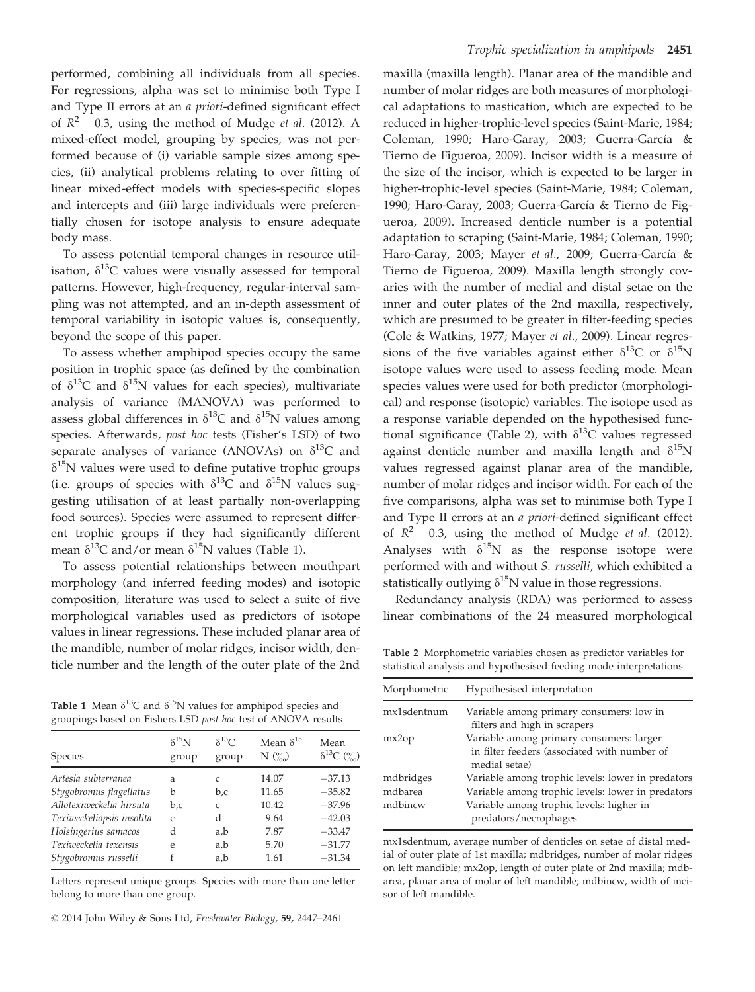performed, combining all individuals from all species. For regressions, alpha was set to minimise both Type I and Type II errors at an a priori-defined significant effect of  $R^2 = 0.3$ , using the method of Mudge *et al.* (2012). A mixed-effect model, grouping by species, was not performed because of (i) variable sample sizes among species, (ii) analytical problems relating to over fitting of linear mixed-effect models with species-specific slopes and intercepts and (iii) large individuals were preferentially chosen for isotope analysis to ensure adequate body mass.

To assess potential temporal changes in resource utilisation,  $\delta^{13}$ C values were visually assessed for temporal patterns. However, high-frequency, regular-interval sampling was not attempted, and an in-depth assessment of temporal variability in isotopic values is, consequently, beyond the scope of this paper.

To assess whether amphipod species occupy the same position in trophic space (as defined by the combination of  $\delta^{13}C$  and  $\delta^{15}N$  values for each species), multivariate analysis of variance (MANOVA) was performed to assess global differences in  $\delta^{13}C$  and  $\delta^{15}N$  values among species. Afterwards, post hoc tests (Fisher's LSD) of two separate analyses of variance (ANOVAs) on  $\delta^{13}C$  and  $\delta^{15}$ N values were used to define putative trophic groups (i.e. groups of species with  $\delta^{13}C$  and  $\delta^{15}N$  values suggesting utilisation of at least partially non-overlapping food sources). Species were assumed to represent different trophic groups if they had significantly different mean  $\delta^{13}$ C and/or mean  $\delta^{15}$ N values (Table 1).

To assess potential relationships between mouthpart morphology (and inferred feeding modes) and isotopic composition, literature was used to select a suite of five morphological variables used as predictors of isotope values in linear regressions. These included planar area of the mandible, number of molar ridges, incisor width, denticle number and the length of the outer plate of the 2nd

Table 1 Mean  $\delta^{13}C$  and  $\delta^{15}N$  values for amphipod species and groupings based on Fishers LSD post hoc test of ANOVA results

| Species                   | $\delta^{15}N$<br>group | $\delta^{13}C$<br>group | Mean $\delta^{15}$<br>$N(\%)$ | Mean<br>$\delta^{13}C$ (%) |
|---------------------------|-------------------------|-------------------------|-------------------------------|----------------------------|
| Artesia subterranea       | a                       | C                       | 14.07                         | $-37.13$                   |
| Stygobromus flagellatus   | b                       | b,c                     | 11.65                         | $-35.82$                   |
| Allotexiweckelia hirsuta  | b,c                     | C                       | 10.42                         | $-37.96$                   |
| Texiweckeliopsis insolita | $\mathcal{C}$           | d                       | 9.64                          | $-42.03$                   |
| Holsingerius samacos      | d                       | a,b                     | 7.87                          | $-33.47$                   |
| Texiweckelia texensis     | e                       | a,b                     | 5.70                          | $-31.77$                   |
| Stygobromus russelli      |                         | a,b                     | 1.61                          | $-31.34$                   |
|                           |                         |                         |                               |                            |

Letters represent unique groups. Species with more than one letter belong to more than one group.

© 2014 John Wiley & Sons Ltd, Freshwater Biology, 59, 2447–2461

maxilla (maxilla length). Planar area of the mandible and number of molar ridges are both measures of morphological adaptations to mastication, which are expected to be reduced in higher-trophic-level species (Saint-Marie, 1984; Coleman, 1990; Haro-Garay, 2003; Guerra-García & Tierno de Figueroa, 2009). Incisor width is a measure of the size of the incisor, which is expected to be larger in higher-trophic-level species (Saint-Marie, 1984; Coleman, 1990; Haro-Garay, 2003; Guerra-García & Tierno de Figueroa, 2009). Increased denticle number is a potential adaptation to scraping (Saint-Marie, 1984; Coleman, 1990; Haro-Garay, 2003; Mayer et al., 2009; Guerra-García & Tierno de Figueroa, 2009). Maxilla length strongly covaries with the number of medial and distal setae on the inner and outer plates of the 2nd maxilla, respectively, which are presumed to be greater in filter-feeding species (Cole & Watkins, 1977; Mayer et al., 2009). Linear regressions of the five variables against either  $\delta^{13}C$  or  $\delta^{15}N$ isotope values were used to assess feeding mode. Mean species values were used for both predictor (morphological) and response (isotopic) variables. The isotope used as a response variable depended on the hypothesised functional significance (Table 2), with  $\delta^{13}$ C values regressed against denticle number and maxilla length and  $\delta^{15}N$ values regressed against planar area of the mandible, number of molar ridges and incisor width. For each of the five comparisons, alpha was set to minimise both Type I and Type II errors at an a priori-defined significant effect of  $R^2 = 0.3$ , using the method of Mudge *et al.* (2012). Analyses with  $\delta^{15}N$  as the response isotope were performed with and without S. russelli, which exhibited a statistically outlying  $\delta^{15}N$  value in those regressions.

Redundancy analysis (RDA) was performed to assess linear combinations of the 24 measured morphological

Table 2 Morphometric variables chosen as predictor variables for statistical analysis and hypothesised feeding mode interpretations

| Morphometric | Hypothesised interpretation                                                                               |
|--------------|-----------------------------------------------------------------------------------------------------------|
| mx1sdentnum  | Variable among primary consumers: low in<br>filters and high in scrapers                                  |
| mx2op        | Variable among primary consumers: larger<br>in filter feeders (associated with number of<br>medial setae) |
| mdbridges    | Variable among trophic levels: lower in predators                                                         |
| mdbarea      | Variable among trophic levels: lower in predators                                                         |
| mdbincw      | Variable among trophic levels: higher in<br>predators/necrophages                                         |

mx1sdentnum, average number of denticles on setae of distal medial of outer plate of 1st maxilla; mdbridges, number of molar ridges on left mandible; mx2op, length of outer plate of 2nd maxilla; mdbarea, planar area of molar of left mandible; mdbincw, width of incisor of left mandible.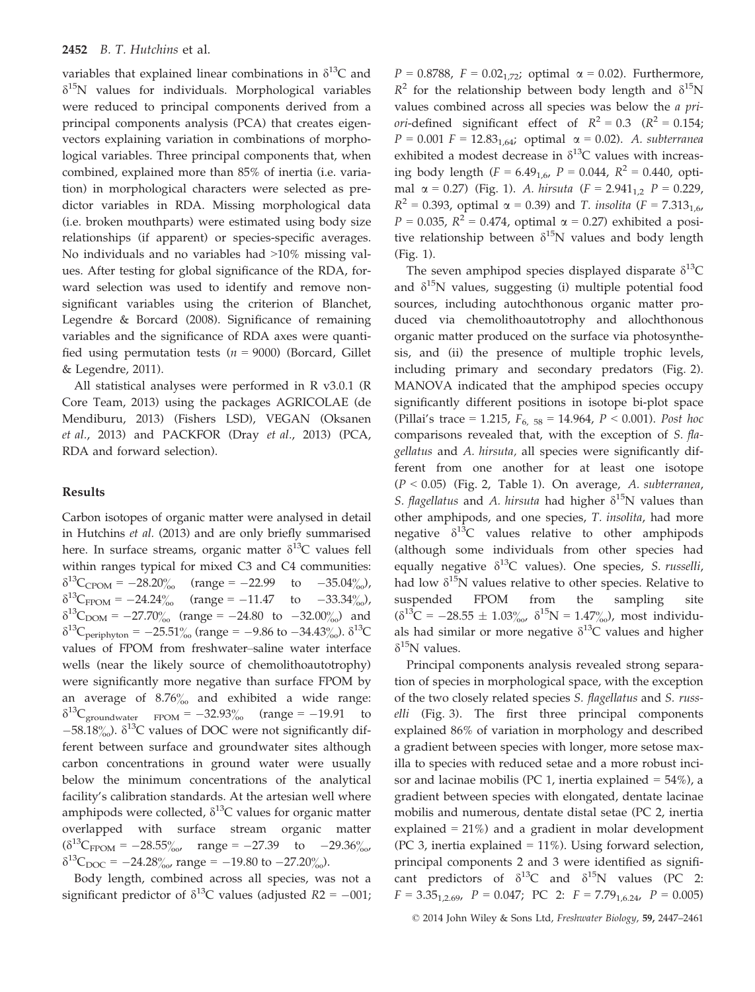variables that explained linear combinations in  $\delta^{13}C$  and  $\delta^{15}$ N values for individuals. Morphological variables were reduced to principal components derived from a principal components analysis (PCA) that creates eigenvectors explaining variation in combinations of morphological variables. Three principal components that, when combined, explained more than 85% of inertia (i.e. variation) in morphological characters were selected as predictor variables in RDA. Missing morphological data (i.e. broken mouthparts) were estimated using body size relationships (if apparent) or species-specific averages. No individuals and no variables had >10% missing values. After testing for global significance of the RDA, forward selection was used to identify and remove nonsignificant variables using the criterion of Blanchet, Legendre & Borcard (2008). Significance of remaining variables and the significance of RDA axes were quantified using permutation tests ( $n = 9000$ ) (Borcard, Gillet & Legendre, 2011).

All statistical analyses were performed in R v3.0.1 (R Core Team, 2013) using the packages AGRICOLAE (de Mendiburu, 2013) (Fishers LSD), VEGAN (Oksanen et al., 2013) and PACKFOR (Dray et al., 2013) (PCA, RDA and forward selection).

## Results

Carbon isotopes of organic matter were analysed in detail in Hutchins et al. (2013) and are only briefly summarised here. In surface streams, organic matter  $\delta^{13}$ C values fell within ranges typical for mixed C3 and C4 communities:  $\delta^{13}C_{\rm{CPOM}} = -28.20\%$  (range = -22.99 to -35.04%),  $\delta^{13}C_{\text{FPOM}} = -24.24\%$  (range = -11.47 to -33.34%),  $\delta^{13}C_{\text{DOM}} = -27.70\%$  (range = -24.80 to -32.00%) and  $\delta^{13}C_{\text{periphyton}} = -25.51\%$  (range = -9.86 to -34.43%).  $\delta^{13}C$ values of FPOM from freshwater–saline water interface wells (near the likely source of chemolithoautotrophy) were significantly more negative than surface FPOM by an average of  $8.76\%$  and exhibited a wide range:  $\delta^{13}C_{\text{groundwater}}$  FPOM =  $-32.93\%$  (range =  $-19.91$  to  $-58.18\%$ .  $\delta^{13}$ C values of DOC were not significantly different between surface and groundwater sites although carbon concentrations in ground water were usually below the minimum concentrations of the analytical facility's calibration standards. At the artesian well where amphipods were collected,  $\delta^{13}$ C values for organic matter overlapped with surface stream organic matter  $(\delta^{13}C_{\text{FPOM}} = -28.55\%$ <sub>00</sub>, range = -27.39 to -29.36 $\%$ <sub>00</sub>,  $\delta^{13}C_{\text{DOC}} = -24.28\%_{\text{oo}}$  range = -19.80 to -27.20%).

Body length, combined across all species, was not a significant predictor of  $\delta^{13}$ C values (adjusted R2 = -001;  $P = 0.8788$ ,  $F = 0.02_{1.72}$ ; optimal  $\alpha = 0.02$ ). Furthermore,  $R^2$  for the relationship between body length and  $\delta^{15}N$ values combined across all species was below the a pri*ori*-defined significant effect of  $R^2 = 0.3$   $(R^2 = 0.154)$ ;  $P = 0.001$  F = 12.83<sub>1.64</sub>; optimal  $\alpha = 0.02$ ). A. subterranea exhibited a modest decrease in  $\delta^{13}$ C values with increasing body length  $(F = 6.49_{1.6}$ ,  $P = 0.044$ ,  $R^2 = 0.440$ , optimal  $\alpha = 0.27$ ) (Fig. 1). A. hirsuta (F = 2.941<sub>1.2</sub> P = 0.229,  $R^{2} = 0.393$ , optimal  $\alpha = 0.39$ ) and *T. insolita* (*F = 7.313*<sub>1.6</sub>,  $P = 0.035$ ,  $R^2 = 0.474$ , optimal  $\alpha = 0.27$ ) exhibited a positive relationship between  $\delta^{15}N$  values and body length (Fig. 1).

The seven amphipod species displayed disparate  $\delta^{13}C$ and  $\delta^{15}N$  values, suggesting (i) multiple potential food sources, including autochthonous organic matter produced via chemolithoautotrophy and allochthonous organic matter produced on the surface via photosynthesis, and (ii) the presence of multiple trophic levels, including primary and secondary predators (Fig. 2). MANOVA indicated that the amphipod species occupy significantly different positions in isotope bi-plot space (Pillai's trace = 1.215,  $F_{6, 58} = 14.964$ ,  $P < 0.001$ ). Post hoc comparisons revealed that, with the exception of S. flagellatus and A. hirsuta, all species were significantly different from one another for at least one isotope  $(P < 0.05)$  (Fig. 2, Table 1). On average, A. subterranea, S. flagellatus and A. hirsuta had higher  $\delta^{15}N$  values than other amphipods, and one species, T. insolita, had more negative  $\delta^{13}$ C values relative to other amphipods (although some individuals from other species had equally negative  $\delta^{13}C$  values). One species, S. russelli, had low  $\delta^{15}N$  values relative to other species. Relative to suspended FPOM from the sampling site  $(\delta^{13}C = -28.55 \pm 1.03\%_{\odot}, \delta^{15}N = 1.47\%_{\odot})$ , most individuals had similar or more negative  $\delta^{13}$ C values and higher  $\delta^{15}$ N values.

Principal components analysis revealed strong separation of species in morphological space, with the exception of the two closely related species S. flagellatus and S. russelli (Fig. 3). The first three principal components explained 86% of variation in morphology and described a gradient between species with longer, more setose maxilla to species with reduced setae and a more robust incisor and lacinae mobilis (PC 1, inertia explained  $= 54\%$ ), a gradient between species with elongated, dentate lacinae mobilis and numerous, dentate distal setae (PC 2, inertia explained = 21%) and a gradient in molar development (PC 3, inertia explained =  $11\%$ ). Using forward selection, principal components 2 and 3 were identified as significant predictors of  $\delta^{13}C$  and  $\delta^{15}N$  values (PC 2:  $F = 3.35_{1,2.69}$ ,  $P = 0.047$ ; PC 2:  $F = 7.79_{1,6.24}$ ,  $P = 0.005$ )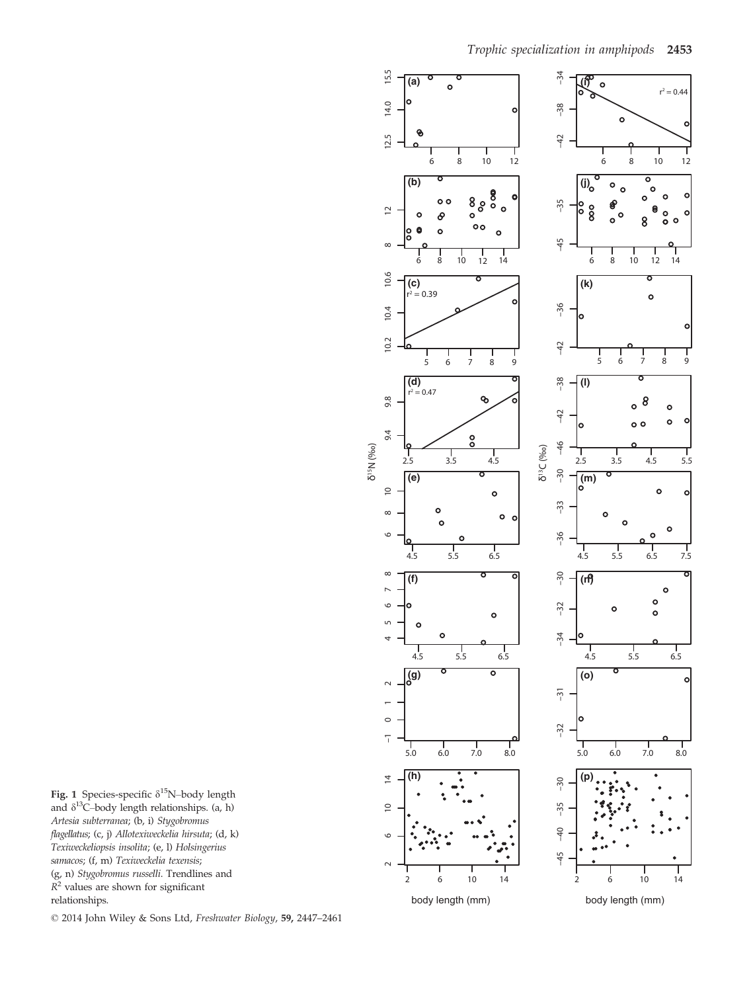

Fig. 1 Species-specific  $\delta^{15}$ N-body length and  $\delta^{13}$ C-body length relationships. (a, h) Artesia subterranea; (b, i) Stygobromus flagellatus; (c, j) Allotexiweckelia hirsuta; (d, k) Texiweckeliopsis insolita; (e, l) Holsingerius samacos; (f, m) Texiweckelia texensis; (g, n) Stygobromus russelli. Trendlines and  $R^2$  values are shown for significant relationships.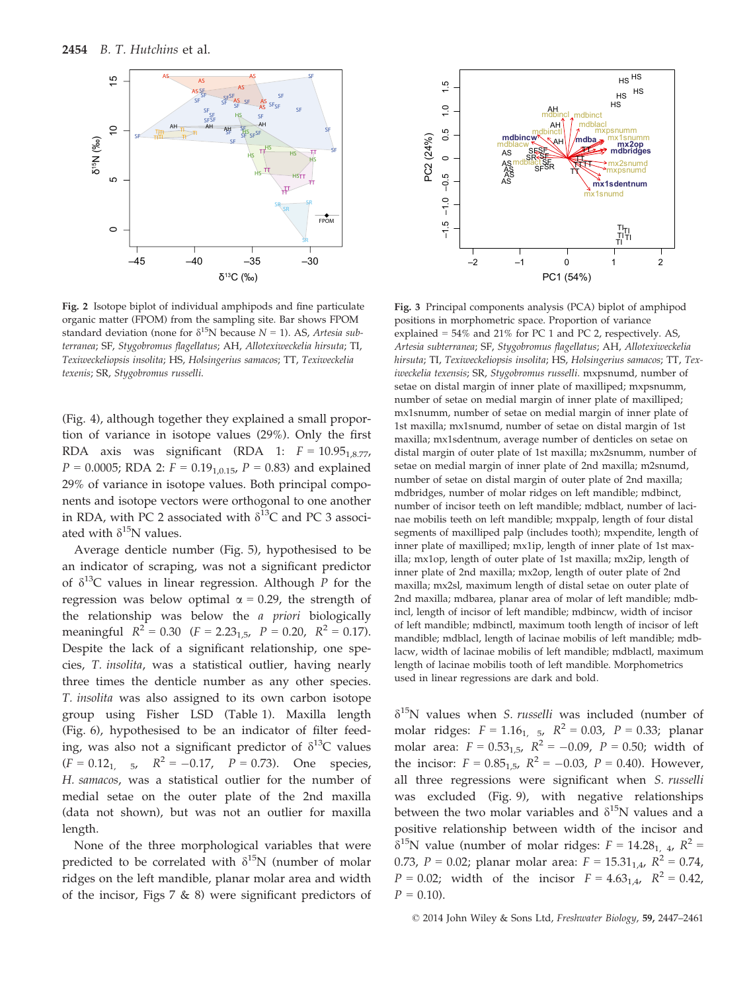

Fig. 2 Isotope biplot of individual amphipods and fine particulate organic matter (FPOM) from the sampling site. Bar shows FPOM standard deviation (none for  $\delta^{15}N$  because  $N = 1$ ). AS, Artesia subterranea; SF, Stygobromus flagellatus; AH, Allotexiweckelia hirsuta; TI, Texiweckeliopsis insolita; HS, Holsingerius samacos; TT, Texiweckelia texenis; SR, Stygobromus russelli.

(Fig. 4), although together they explained a small proportion of variance in isotope values (29%). Only the first RDA axis was significant (RDA 1:  $F = 10.95_{1.8.77}$ ,  $P = 0.0005$ ; RDA 2:  $F = 0.19_{1,0.15}$ ,  $P = 0.83$ ) and explained 29% of variance in isotope values. Both principal components and isotope vectors were orthogonal to one another in RDA, with PC 2 associated with  $\delta^{13}$ C and PC 3 associated with  $\delta^{15}N$  values.

Average denticle number (Fig. 5), hypothesised to be an indicator of scraping, was not a significant predictor of  $\delta^{13}$ C values in linear regression. Although P for the regression was below optimal  $\alpha = 0.29$ , the strength of the relationship was below the a priori biologically meaningful  $R^2 = 0.30$   $(F = 2.23<sub>1.5</sub>, P = 0.20, R^2 = 0.17)$ . Despite the lack of a significant relationship, one species, T. insolita, was a statistical outlier, having nearly three times the denticle number as any other species. T. insolita was also assigned to its own carbon isotope group using Fisher LSD (Table 1). Maxilla length (Fig. 6), hypothesised to be an indicator of filter feeding, was also not a significant predictor of  $\delta^{13}C$  values  $(F = 0.12<sub>1</sub>$ ,  $R<sup>2</sup> = -0.17$ ,  $P = 0.73$ ). One species, H. samacos, was a statistical outlier for the number of medial setae on the outer plate of the 2nd maxilla (data not shown), but was not an outlier for maxilla length.

None of the three morphological variables that were predicted to be correlated with  $\delta^{15}N$  (number of molar ridges on the left mandible, planar molar area and width of the incisor, Figs 7  $\&$  8) were significant predictors of



Fig. 3 Principal components analysis (PCA) biplot of amphipod positions in morphometric space. Proportion of variance explained =  $54\%$  and  $21\%$  for PC 1 and PC 2, respectively. AS, Artesia subterranea; SF, Stygobromus flagellatus; AH, Allotexiweckelia hirsuta; TI, Texiweckeliopsis insolita; HS, Holsingerius samacos; TT, Texiweckelia texensis; SR, Stygobromus russelli. mxpsnumd, number of setae on distal margin of inner plate of maxilliped; mxpsnumm, number of setae on medial margin of inner plate of maxilliped; mx1snumm, number of setae on medial margin of inner plate of 1st maxilla; mx1snumd, number of setae on distal margin of 1st maxilla; mx1sdentnum, average number of denticles on setae on distal margin of outer plate of 1st maxilla; mx2snumm, number of setae on medial margin of inner plate of 2nd maxilla; m2snumd, number of setae on distal margin of outer plate of 2nd maxilla; mdbridges, number of molar ridges on left mandible; mdbinct, number of incisor teeth on left mandible; mdblact, number of lacinae mobilis teeth on left mandible; mxppalp, length of four distal segments of maxilliped palp (includes tooth); mxpendite, length of inner plate of maxilliped; mx1ip, length of inner plate of 1st maxilla; mx1op, length of outer plate of 1st maxilla; mx2ip, length of inner plate of 2nd maxilla; mx2op, length of outer plate of 2nd maxilla; mx2sl, maximum length of distal setae on outer plate of 2nd maxilla; mdbarea, planar area of molar of left mandible; mdbincl, length of incisor of left mandible; mdbincw, width of incisor of left mandible; mdbinctl, maximum tooth length of incisor of left mandible; mdblacl, length of lacinae mobilis of left mandible; mdblacw, width of lacinae mobilis of left mandible; mdblactl, maximum length of lacinae mobilis tooth of left mandible. Morphometrics used in linear regressions are dark and bold.

 $\delta^{15}$ N values when *S. russelli* was included (number of molar ridges:  $F = 1.16$ <sub>1, 5</sub>,  $R^2 = 0.03$ ,  $P = 0.33$ ; planar molar area:  $F = 0.53_{1.5}$ ,  $R^2 = -0.09$ ,  $P = 0.50$ ; width of the incisor:  $F = 0.85_{1.5}$ ,  $R^2 = -0.03$ ,  $P = 0.40$ ). However, all three regressions were significant when S. russelli was excluded (Fig. 9), with negative relationships between the two molar variables and  $\delta^{15}N$  values and a positive relationship between width of the incisor and  $\delta^{15}$ N value (number of molar ridges:  $F = 14.28_{1.4}$ ,  $R^2 =$ 0.73,  $P = 0.02$ ; planar molar area:  $F = 15.31_{1.4}$ ,  $R^2 = 0.74$ ,  $P = 0.02$ ; width of the incisor  $F = 4.63_{1.4}$ ,  $R^2 = 0.42$ ,  $P = 0.10$ .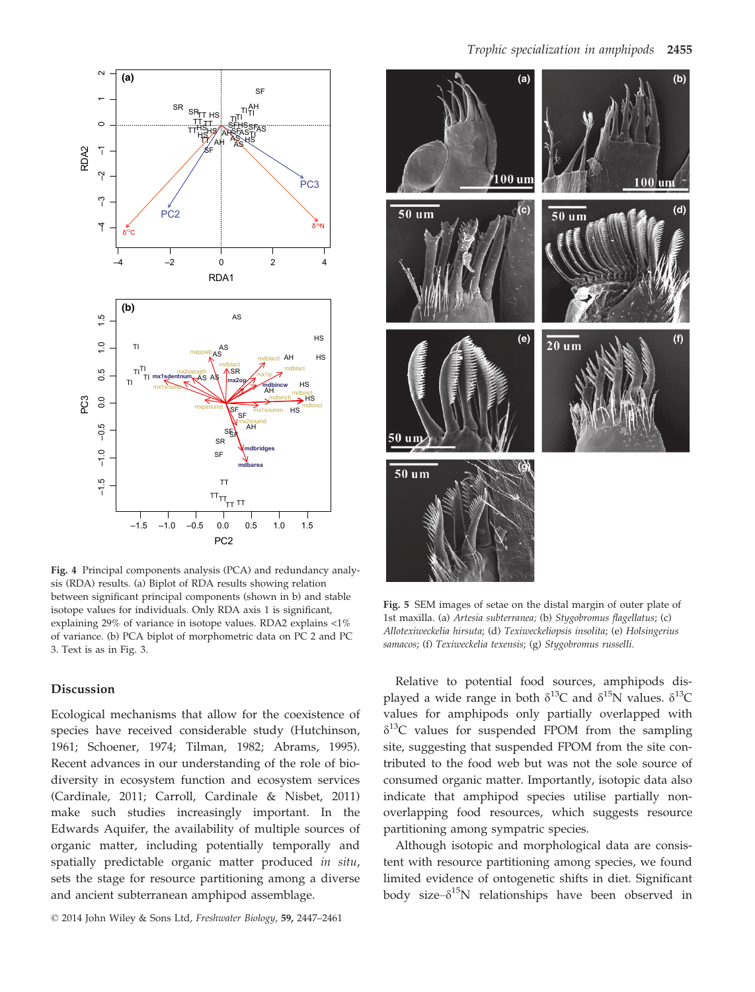

Fig. 4 Principal components analysis (PCA) and redundancy analysis (RDA) results. (a) Biplot of RDA results showing relation between significant principal components (shown in b) and stable isotope values for individuals. Only RDA axis 1 is significant, explaining 29% of variance in isotope values. RDA2 explains <1% of variance. (b) PCA biplot of morphometric data on PC 2 and PC 3. Text is as in Fig. 3.

#### Discussion

Ecological mechanisms that allow for the coexistence of species have received considerable study (Hutchinson, 1961; Schoener, 1974; Tilman, 1982; Abrams, 1995). Recent advances in our understanding of the role of biodiversity in ecosystem function and ecosystem services (Cardinale, 2011; Carroll, Cardinale & Nisbet, 2011) make such studies increasingly important. In the Edwards Aquifer, the availability of multiple sources of organic matter, including potentially temporally and spatially predictable organic matter produced in situ, sets the stage for resource partitioning among a diverse and ancient subterranean amphipod assemblage.



Fig. 5 SEM images of setae on the distal margin of outer plate of 1st maxilla. (a) Artesia subterranea; (b) Stygobromus flagellatus; (c) Allotexiweckelia hirsuta; (d) Texiweckeliopsis insolita; (e) Holsingerius samacos; (f) Texiweckelia texensis; (g) Stygobromus russelli.

Relative to potential food sources, amphipods displayed a wide range in both  $\delta^{13}$ C and  $\delta^{15}$ N values.  $\delta^{13}$ C values for amphipods only partially overlapped with  $\delta^{13}$ C values for suspended FPOM from the sampling site, suggesting that suspended FPOM from the site contributed to the food web but was not the sole source of consumed organic matter. Importantly, isotopic data also indicate that amphipod species utilise partially nonoverlapping food resources, which suggests resource partitioning among sympatric species.

Although isotopic and morphological data are consistent with resource partitioning among species, we found limited evidence of ontogenetic shifts in diet. Significant body size– $\delta^{15}N$  relationships have been observed in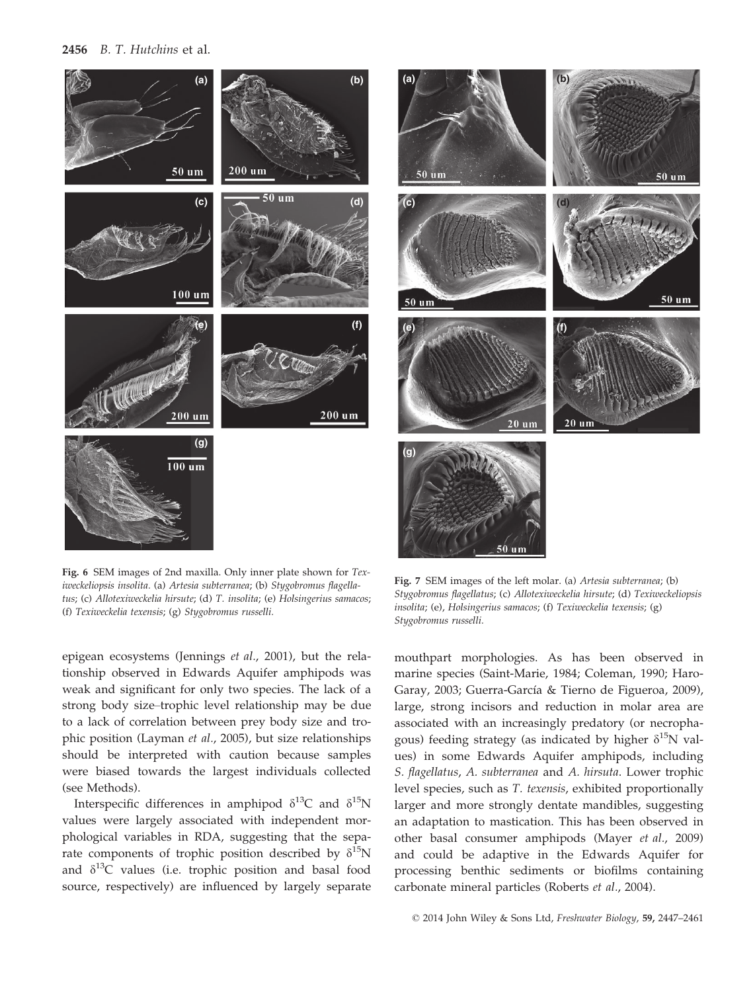

Fig. 6 SEM images of 2nd maxilla. Only inner plate shown for Texiweckeliopsis insolita. (a) Artesia subterranea; (b) Stygobromus flagellatus; (c) Allotexiweckelia hirsute; (d) T. insolita; (e) Holsingerius samacos; (f) Texiweckelia texensis; (g) Stygobromus russelli.

epigean ecosystems (Jennings et al., 2001), but the relationship observed in Edwards Aquifer amphipods was weak and significant for only two species. The lack of a strong body size–trophic level relationship may be due to a lack of correlation between prey body size and trophic position (Layman et al., 2005), but size relationships should be interpreted with caution because samples were biased towards the largest individuals collected (see Methods).

Interspecific differences in amphipod  $\delta^{13}C$  and  $\delta^{15}N$ values were largely associated with independent morphological variables in RDA, suggesting that the separate components of trophic position described by  $\delta^{15}N$ and  $\delta^{13}$ C values (i.e. trophic position and basal food source, respectively) are influenced by largely separate

Fig. 7 SEM images of the left molar. (a) Artesia subterranea; (b) Stygobromus flagellatus; (c) Allotexiweckelia hirsute; (d) Texiweckeliopsis insolita; (e), Holsingerius samacos; (f) Texiweckelia texensis; (g) Stygobromus russelli.

mouthpart morphologies. As has been observed in marine species (Saint-Marie, 1984; Coleman, 1990; Haro-Garay, 2003; Guerra-García & Tierno de Figueroa, 2009), large, strong incisors and reduction in molar area are associated with an increasingly predatory (or necrophagous) feeding strategy (as indicated by higher  $\delta^{15}N$  values) in some Edwards Aquifer amphipods, including S. flagellatus, A. subterranea and A. hirsuta. Lower trophic level species, such as T. texensis, exhibited proportionally larger and more strongly dentate mandibles, suggesting an adaptation to mastication. This has been observed in other basal consumer amphipods (Mayer et al., 2009) and could be adaptive in the Edwards Aquifer for processing benthic sediments or biofilms containing carbonate mineral particles (Roberts et al., 2004).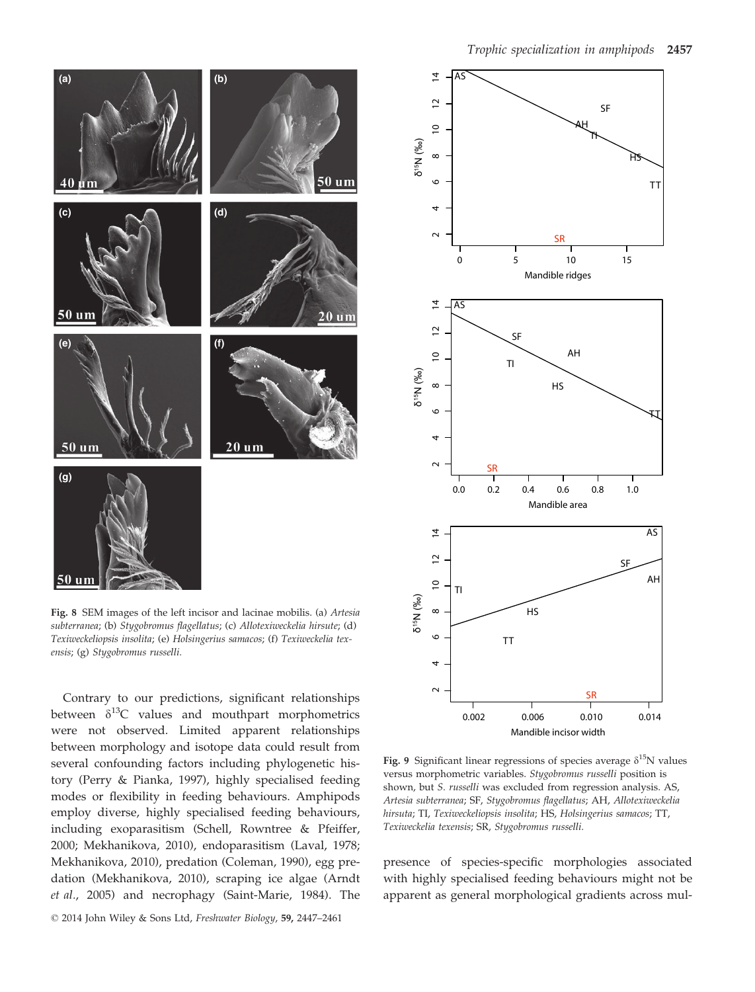

Fig. 8 SEM images of the left incisor and lacinae mobilis. (a) Artesia subterranea; (b) Stygobromus flagellatus; (c) Allotexiweckelia hirsute; (d) Texiweckeliopsis insolita; (e) Holsingerius samacos; (f) Texiweckelia texensis; (g) Stygobromus russelli.

Contrary to our predictions, significant relationships between  $\delta^{13}$ C values and mouthpart morphometrics were not observed. Limited apparent relationships between morphology and isotope data could result from several confounding factors including phylogenetic history (Perry & Pianka, 1997), highly specialised feeding modes or flexibility in feeding behaviours. Amphipods employ diverse, highly specialised feeding behaviours, including exoparasitism (Schell, Rowntree & Pfeiffer, 2000; Mekhanikova, 2010), endoparasitism (Laval, 1978; Mekhanikova, 2010), predation (Coleman, 1990), egg predation (Mekhanikova, 2010), scraping ice algae (Arndt et al., 2005) and necrophagy (Saint-Marie, 1984). The

© 2014 John Wiley & Sons Ltd, Freshwater Biology, 59, 2447–2461



Fig. 9 Significant linear regressions of species average  $\delta^{15}N$  values versus morphometric variables. Stygobromus russelli position is shown, but S. russelli was excluded from regression analysis. AS, Artesia subterranea; SF, Stygobromus flagellatus; AH, Allotexiweckelia hirsuta; TI, Texiweckeliopsis insolita; HS, Holsingerius samacos; TT, Texiweckelia texensis; SR, Stygobromus russelli.

presence of species-specific morphologies associated with highly specialised feeding behaviours might not be apparent as general morphological gradients across mul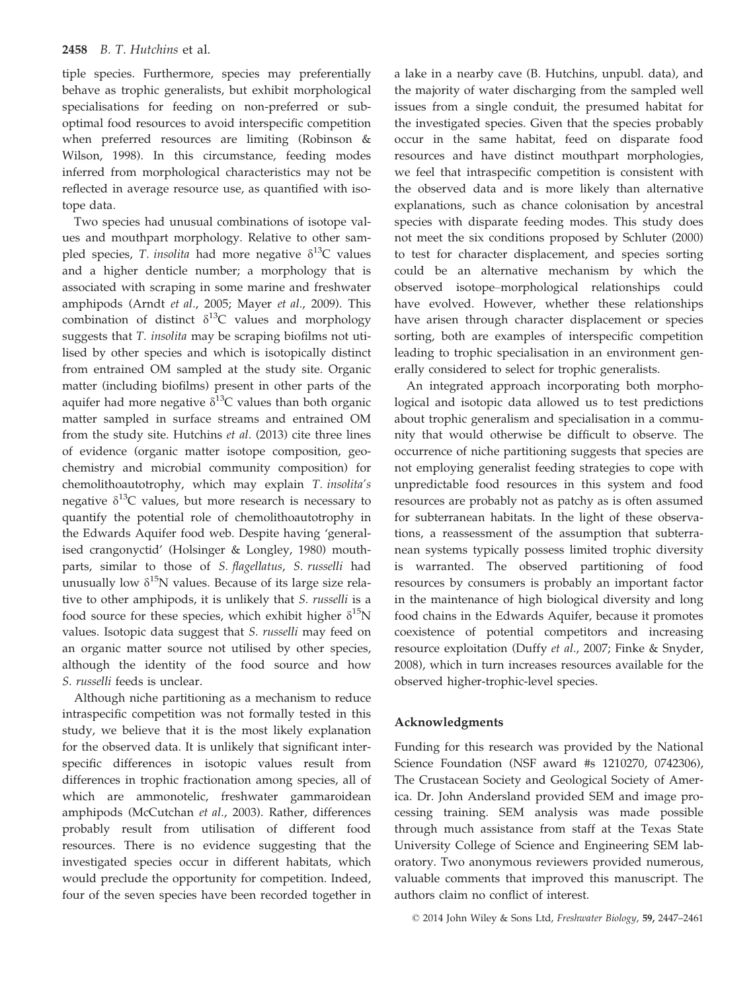tiple species. Furthermore, species may preferentially behave as trophic generalists, but exhibit morphological specialisations for feeding on non-preferred or suboptimal food resources to avoid interspecific competition when preferred resources are limiting (Robinson & Wilson, 1998). In this circumstance, feeding modes inferred from morphological characteristics may not be reflected in average resource use, as quantified with isotope data.

Two species had unusual combinations of isotope values and mouthpart morphology. Relative to other sampled species, T. insolita had more negative  $\delta^{13}C$  values and a higher denticle number; a morphology that is associated with scraping in some marine and freshwater amphipods (Arndt et al., 2005; Mayer et al., 2009). This combination of distinct  $\delta^{13}C$  values and morphology suggests that T. insolita may be scraping biofilms not utilised by other species and which is isotopically distinct from entrained OM sampled at the study site. Organic matter (including biofilms) present in other parts of the aquifer had more negative  $\delta^{13}$ C values than both organic matter sampled in surface streams and entrained OM from the study site. Hutchins et al. (2013) cite three lines of evidence (organic matter isotope composition, geochemistry and microbial community composition) for chemolithoautotrophy, which may explain T. insolita's negative  $\delta^{13}$ C values, but more research is necessary to quantify the potential role of chemolithoautotrophy in the Edwards Aquifer food web. Despite having 'generalised crangonyctid' (Holsinger & Longley, 1980) mouthparts, similar to those of S. flagellatus, S. russelli had unusually low  $\delta^{15}N$  values. Because of its large size relative to other amphipods, it is unlikely that S. russelli is a food source for these species, which exhibit higher  $\delta^{15}N$ values. Isotopic data suggest that S. russelli may feed on an organic matter source not utilised by other species, although the identity of the food source and how S. russelli feeds is unclear.

Although niche partitioning as a mechanism to reduce intraspecific competition was not formally tested in this study, we believe that it is the most likely explanation for the observed data. It is unlikely that significant interspecific differences in isotopic values result from differences in trophic fractionation among species, all of which are ammonotelic, freshwater gammaroidean amphipods (McCutchan et al., 2003). Rather, differences probably result from utilisation of different food resources. There is no evidence suggesting that the investigated species occur in different habitats, which would preclude the opportunity for competition. Indeed, four of the seven species have been recorded together in a lake in a nearby cave (B. Hutchins, unpubl. data), and the majority of water discharging from the sampled well issues from a single conduit, the presumed habitat for the investigated species. Given that the species probably occur in the same habitat, feed on disparate food resources and have distinct mouthpart morphologies, we feel that intraspecific competition is consistent with the observed data and is more likely than alternative explanations, such as chance colonisation by ancestral species with disparate feeding modes. This study does not meet the six conditions proposed by Schluter (2000) to test for character displacement, and species sorting could be an alternative mechanism by which the observed isotope–morphological relationships could have evolved. However, whether these relationships have arisen through character displacement or species sorting, both are examples of interspecific competition leading to trophic specialisation in an environment generally considered to select for trophic generalists.

An integrated approach incorporating both morphological and isotopic data allowed us to test predictions about trophic generalism and specialisation in a community that would otherwise be difficult to observe. The occurrence of niche partitioning suggests that species are not employing generalist feeding strategies to cope with unpredictable food resources in this system and food resources are probably not as patchy as is often assumed for subterranean habitats. In the light of these observations, a reassessment of the assumption that subterranean systems typically possess limited trophic diversity is warranted. The observed partitioning of food resources by consumers is probably an important factor in the maintenance of high biological diversity and long food chains in the Edwards Aquifer, because it promotes coexistence of potential competitors and increasing resource exploitation (Duffy et al., 2007; Finke & Snyder, 2008), which in turn increases resources available for the observed higher-trophic-level species.

# Acknowledgments

Funding for this research was provided by the National Science Foundation (NSF award #s 1210270, 0742306), The Crustacean Society and Geological Society of America. Dr. John Andersland provided SEM and image processing training. SEM analysis was made possible through much assistance from staff at the Texas State University College of Science and Engineering SEM laboratory. Two anonymous reviewers provided numerous, valuable comments that improved this manuscript. The authors claim no conflict of interest.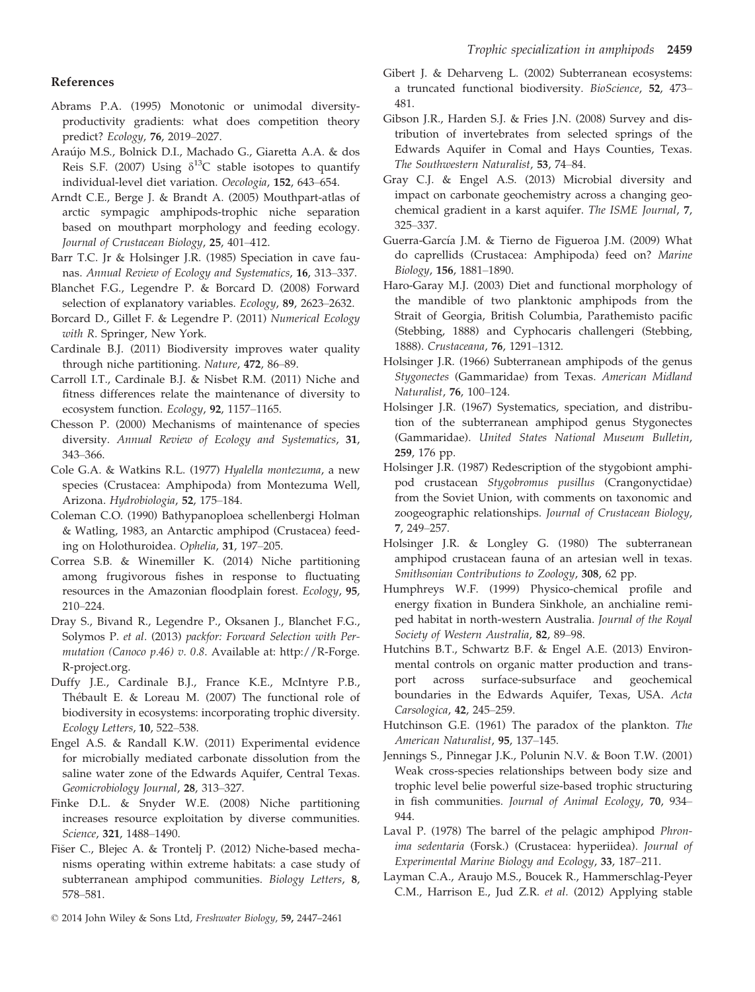## References

- Abrams P.A. (1995) Monotonic or unimodal diversityproductivity gradients: what does competition theory predict? Ecology, 76, 2019–2027.
- Araujo M.S., Bolnick D.I., Machado G., Giaretta A.A. & dos Reis S.F. (2007) Using  $\delta^{13}C$  stable isotopes to quantify individual-level diet variation. Oecologia, 152, 643–654.
- Arndt C.E., Berge J. & Brandt A. (2005) Mouthpart-atlas of arctic sympagic amphipods-trophic niche separation based on mouthpart morphology and feeding ecology. Journal of Crustacean Biology, 25, 401–412.
- Barr T.C. Jr & Holsinger J.R. (1985) Speciation in cave faunas. Annual Review of Ecology and Systematics, 16, 313–337.
- Blanchet F.G., Legendre P. & Borcard D. (2008) Forward selection of explanatory variables. Ecology, 89, 2623–2632.
- Borcard D., Gillet F. & Legendre P. (2011) Numerical Ecology with R. Springer, New York.
- Cardinale B.J. (2011) Biodiversity improves water quality through niche partitioning. Nature, 472, 86–89.
- Carroll I.T., Cardinale B.J. & Nisbet R.M. (2011) Niche and fitness differences relate the maintenance of diversity to ecosystem function. Ecology, 92, 1157–1165.
- Chesson P. (2000) Mechanisms of maintenance of species diversity. Annual Review of Ecology and Systematics, 31, 343–366.
- Cole G.A. & Watkins R.L. (1977) Hyalella montezuma, a new species (Crustacea: Amphipoda) from Montezuma Well, Arizona. Hydrobiologia, 52, 175–184.
- Coleman C.O. (1990) Bathypanoploea schellenbergi Holman & Watling, 1983, an Antarctic amphipod (Crustacea) feeding on Holothuroidea. Ophelia, 31, 197–205.
- Correa S.B. & Winemiller K. (2014) Niche partitioning among frugivorous fishes in response to fluctuating resources in the Amazonian floodplain forest. Ecology, 95, 210–224.
- Dray S., Bivand R., Legendre P., Oksanen J., Blanchet F.G., Solymos P. et al. (2013) packfor: Forward Selection with Permutation (Canoco p.46) v. 0.8. Available at: http://R-Forge. R-project.org.
- Duffy J.E., Cardinale B.J., France K.E., McIntyre P.B., Thebault E. & Loreau M. (2007) The functional role of biodiversity in ecosystems: incorporating trophic diversity. Ecology Letters, 10, 522–538.
- Engel A.S. & Randall K.W. (2011) Experimental evidence for microbially mediated carbonate dissolution from the saline water zone of the Edwards Aquifer, Central Texas. Geomicrobiology Journal, 28, 313–327.
- Finke D.L. & Snyder W.E. (2008) Niche partitioning increases resource exploitation by diverse communities. Science, 321, 1488–1490.
- Fišer C., Blejec A. & Trontelj P. (2012) Niche-based mechanisms operating within extreme habitats: a case study of subterranean amphipod communities. Biology Letters, 8, 578–581.
- © 2014 John Wiley & Sons Ltd, Freshwater Biology, 59, 2447–2461
- Gibert J. & Deharveng L. (2002) Subterranean ecosystems: a truncated functional biodiversity. BioScience, 52, 473– 481.
- Gibson J.R., Harden S.J. & Fries J.N. (2008) Survey and distribution of invertebrates from selected springs of the Edwards Aquifer in Comal and Hays Counties, Texas. The Southwestern Naturalist, 53, 74–84.
- Gray C.J. & Engel A.S. (2013) Microbial diversity and impact on carbonate geochemistry across a changing geochemical gradient in a karst aquifer. The ISME Journal, 7, 325–337.
- Guerra-García J.M. & Tierno de Figueroa J.M. (2009) What do caprellids (Crustacea: Amphipoda) feed on? Marine Biology, 156, 1881–1890.
- Haro-Garay M.J. (2003) Diet and functional morphology of the mandible of two planktonic amphipods from the Strait of Georgia, British Columbia, Parathemisto pacific (Stebbing, 1888) and Cyphocaris challengeri (Stebbing, 1888). Crustaceana, 76, 1291–1312.
- Holsinger J.R. (1966) Subterranean amphipods of the genus Stygonectes (Gammaridae) from Texas. American Midland Naturalist, 76, 100–124.
- Holsinger J.R. (1967) Systematics, speciation, and distribution of the subterranean amphipod genus Stygonectes (Gammaridae). United States National Museum Bulletin, 259, 176 pp.
- Holsinger J.R. (1987) Redescription of the stygobiont amphipod crustacean Stygobromus pusillus (Crangonyctidae) from the Soviet Union, with comments on taxonomic and zoogeographic relationships. Journal of Crustacean Biology, 7, 249–257.
- Holsinger J.R. & Longley G. (1980) The subterranean amphipod crustacean fauna of an artesian well in texas. Smithsonian Contributions to Zoology, 308, 62 pp.
- Humphreys W.F. (1999) Physico-chemical profile and energy fixation in Bundera Sinkhole, an anchialine remiped habitat in north-western Australia. Journal of the Royal Society of Western Australia, 82, 89–98.
- Hutchins B.T., Schwartz B.F. & Engel A.E. (2013) Environmental controls on organic matter production and transport across surface-subsurface and geochemical boundaries in the Edwards Aquifer, Texas, USA. Acta Carsologica, 42, 245–259.
- Hutchinson G.E. (1961) The paradox of the plankton. The American Naturalist, 95, 137–145.
- Jennings S., Pinnegar J.K., Polunin N.V. & Boon T.W. (2001) Weak cross-species relationships between body size and trophic level belie powerful size-based trophic structuring in fish communities. Journal of Animal Ecology, 70, 934– 944.
- Laval P. (1978) The barrel of the pelagic amphipod Phronima sedentaria (Forsk.) (Crustacea: hyperiidea). Journal of Experimental Marine Biology and Ecology, 33, 187–211.
- Layman C.A., Araujo M.S., Boucek R., Hammerschlag-Peyer C.M., Harrison E., Jud Z.R. et al. (2012) Applying stable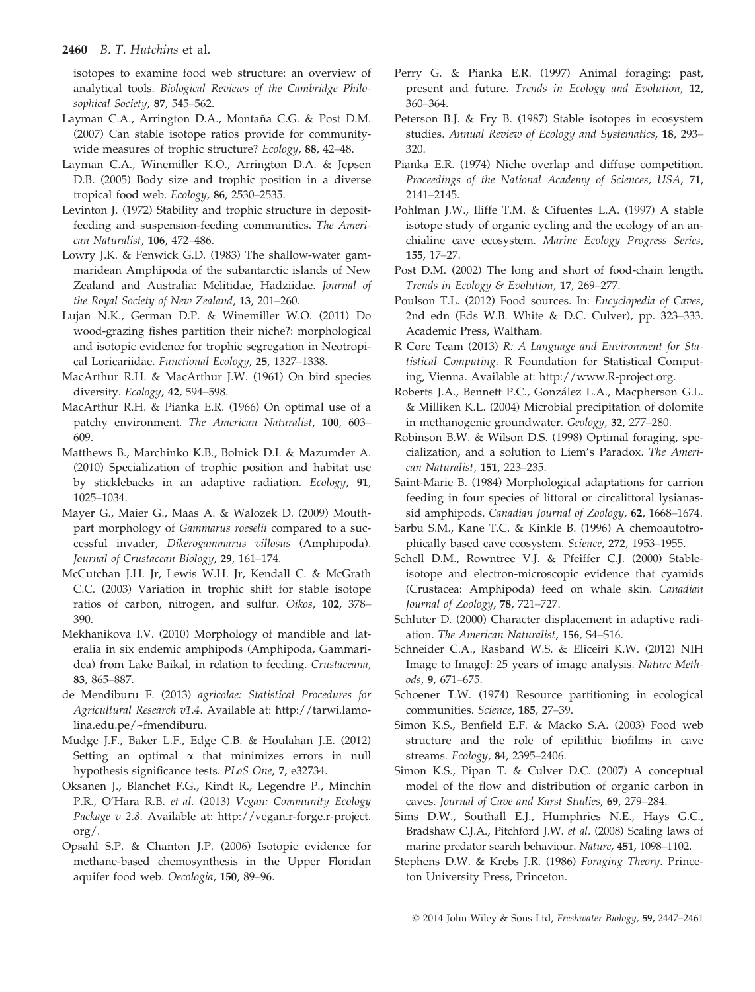isotopes to examine food web structure: an overview of analytical tools. Biological Reviews of the Cambridge Philosophical Society, 87, 545–562.

- Layman C.A., Arrington D.A., Montaña C.G. & Post D.M. (2007) Can stable isotope ratios provide for communitywide measures of trophic structure? Ecology, 88, 42–48.
- Layman C.A., Winemiller K.O., Arrington D.A. & Jepsen D.B. (2005) Body size and trophic position in a diverse tropical food web. Ecology, 86, 2530–2535.
- Levinton J. (1972) Stability and trophic structure in depositfeeding and suspension-feeding communities. The American Naturalist, 106, 472–486.
- Lowry J.K. & Fenwick G.D. (1983) The shallow-water gammaridean Amphipoda of the subantarctic islands of New Zealand and Australia: Melitidae, Hadziidae. Journal of the Royal Society of New Zealand, 13, 201–260.
- Lujan N.K., German D.P. & Winemiller W.O. (2011) Do wood-grazing fishes partition their niche?: morphological and isotopic evidence for trophic segregation in Neotropical Loricariidae. Functional Ecology, 25, 1327–1338.
- MacArthur R.H. & MacArthur J.W. (1961) On bird species diversity. Ecology, 42, 594–598.
- MacArthur R.H. & Pianka E.R. (1966) On optimal use of a patchy environment. The American Naturalist, 100, 603– 609.
- Matthews B., Marchinko K.B., Bolnick D.I. & Mazumder A. (2010) Specialization of trophic position and habitat use by sticklebacks in an adaptive radiation. Ecology, 91, 1025–1034.
- Mayer G., Maier G., Maas A. & Walozek D. (2009) Mouthpart morphology of Gammarus roeselii compared to a successful invader, Dikerogammarus villosus (Amphipoda). Journal of Crustacean Biology, 29, 161–174.
- McCutchan J.H. Jr, Lewis W.H. Jr, Kendall C. & McGrath C.C. (2003) Variation in trophic shift for stable isotope ratios of carbon, nitrogen, and sulfur. Oikos, 102, 378– 390.
- Mekhanikova I.V. (2010) Morphology of mandible and lateralia in six endemic amphipods (Amphipoda, Gammaridea) from Lake Baikal, in relation to feeding. Crustaceana, 83, 865–887.
- de Mendiburu F. (2013) agricolae: Statistical Procedures for Agricultural Research v1.4. Available at: http://tarwi.lamolina.edu.pe/~fmendiburu.
- Mudge J.F., Baker L.F., Edge C.B. & Houlahan J.E. (2012) Setting an optimal  $\alpha$  that minimizes errors in null hypothesis significance tests. PLoS One, 7, e32734.
- Oksanen J., Blanchet F.G., Kindt R., Legendre P., Minchin P.R., O'Hara R.B. et al. (2013) Vegan: Community Ecology Package v 2.8. Available at: http://vegan.r-forge.r-project. org/.
- Opsahl S.P. & Chanton J.P. (2006) Isotopic evidence for methane-based chemosynthesis in the Upper Floridan aquifer food web. Oecologia, 150, 89–96.
- Perry G. & Pianka E.R. (1997) Animal foraging: past, present and future. Trends in Ecology and Evolution, 12, 360–364.
- Peterson B.J. & Fry B. (1987) Stable isotopes in ecosystem studies. Annual Review of Ecology and Systematics, 18, 293– 320.
- Pianka E.R. (1974) Niche overlap and diffuse competition. Proceedings of the National Academy of Sciences, USA, 71, 2141–2145.
- Pohlman J.W., Iliffe T.M. & Cifuentes L.A. (1997) A stable isotope study of organic cycling and the ecology of an anchialine cave ecosystem. Marine Ecology Progress Series, 155, 17–27.
- Post D.M. (2002) The long and short of food-chain length. Trends in Ecology & Evolution, 17, 269–277.
- Poulson T.L. (2012) Food sources. In: Encyclopedia of Caves, 2nd edn (Eds W.B. White & D.C. Culver), pp. 323–333. Academic Press, Waltham.
- R Core Team (2013) R: A Language and Environment for Statistical Computing. R Foundation for Statistical Computing, Vienna. Available at: http://www.R-project.org.
- Roberts J.A., Bennett P.C., Gonzalez L.A., Macpherson G.L. & Milliken K.L. (2004) Microbial precipitation of dolomite in methanogenic groundwater. Geology, 32, 277–280.
- Robinson B.W. & Wilson D.S. (1998) Optimal foraging, specialization, and a solution to Liem's Paradox. The American Naturalist, 151, 223–235.
- Saint-Marie B. (1984) Morphological adaptations for carrion feeding in four species of littoral or circalittoral lysianassid amphipods. Canadian Journal of Zoology, 62, 1668–1674.
- Sarbu S.M., Kane T.C. & Kinkle B. (1996) A chemoautotrophically based cave ecosystem. Science, 272, 1953–1955.
- Schell D.M., Rowntree V.J. & Pfeiffer C.J. (2000) Stableisotope and electron-microscopic evidence that cyamids (Crustacea: Amphipoda) feed on whale skin. Canadian Journal of Zoology, 78, 721–727.
- Schluter D. (2000) Character displacement in adaptive radiation. The American Naturalist, 156, S4–S16.
- Schneider C.A., Rasband W.S. & Eliceiri K.W. (2012) NIH Image to ImageJ: 25 years of image analysis. Nature Methods, 9, 671–675.
- Schoener T.W. (1974) Resource partitioning in ecological communities. Science, 185, 27–39.
- Simon K.S., Benfield E.F. & Macko S.A. (2003) Food web structure and the role of epilithic biofilms in cave streams. Ecology, 84, 2395–2406.
- Simon K.S., Pipan T. & Culver D.C. (2007) A conceptual model of the flow and distribution of organic carbon in caves. Journal of Cave and Karst Studies, 69, 279–284.
- Sims D.W., Southall E.J., Humphries N.E., Hays G.C., Bradshaw C.J.A., Pitchford J.W. et al. (2008) Scaling laws of marine predator search behaviour. Nature, 451, 1098–1102.
- Stephens D.W. & Krebs J.R. (1986) Foraging Theory. Princeton University Press, Princeton.